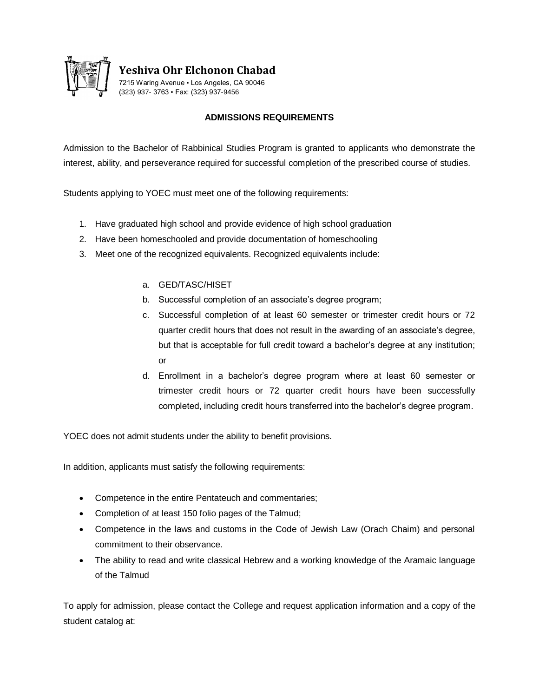

**Yeshiva Ohr Elchonon Chabad**

7215 Waring Avenue ▪ Los Angeles, CA 90046 (323) 937- 3763 ▪ Fax: (323) 937-9456

## **ADMISSIONS REQUIREMENTS**

Admission to the Bachelor of Rabbinical Studies Program is granted to applicants who demonstrate the interest, ability, and perseverance required for successful completion of the prescribed course of studies.

Students applying to YOEC must meet one of the following requirements:

- 1. Have graduated high school and provide evidence of high school graduation
- 2. Have been homeschooled and provide documentation of homeschooling
- 3. Meet one of the recognized equivalents. Recognized equivalents include:
	- a. GED/TASC/HISET
	- b. Successful completion of an associate's degree program;
	- c. Successful completion of at least 60 semester or trimester credit hours or 72 quarter credit hours that does not result in the awarding of an associate's degree, but that is acceptable for full credit toward a bachelor's degree at any institution; or
	- d. Enrollment in a bachelor's degree program where at least 60 semester or trimester credit hours or 72 quarter credit hours have been successfully completed, including credit hours transferred into the bachelor's degree program.

YOEC does not admit students under the ability to benefit provisions.

In addition, applicants must satisfy the following requirements:

- Competence in the entire Pentateuch and commentaries;
- Completion of at least 150 folio pages of the Talmud;
- Competence in the laws and customs in the Code of Jewish Law (Orach Chaim) and personal commitment to their observance.
- The ability to read and write classical Hebrew and a working knowledge of the Aramaic language of the Talmud

To apply for admission, please contact the College and request application information and a copy of the student catalog at: